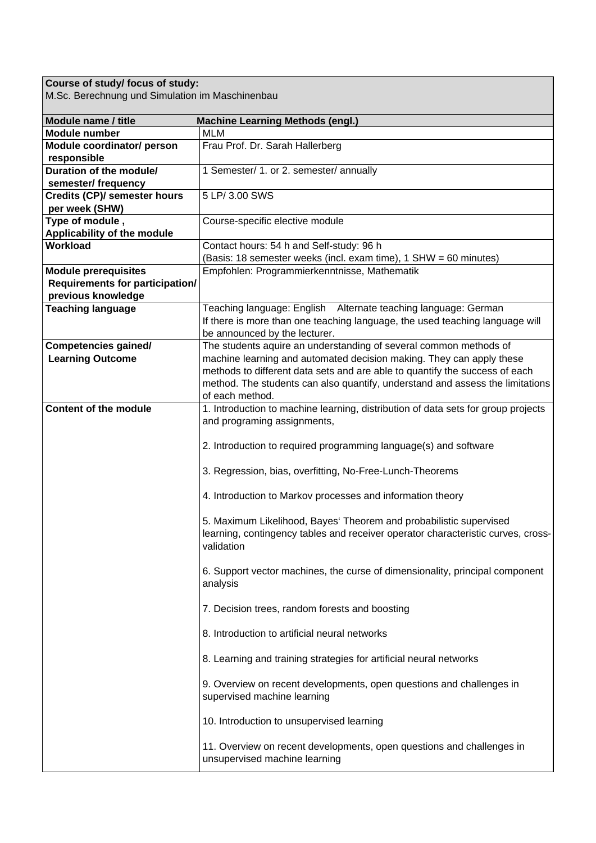## **Course of study/ focus of study:**

M.Sc. Berechnung und Simulation im Maschinenbau

| Module name / title                    | <b>Machine Learning Methods (engl.)</b>                                                                                                                              |
|----------------------------------------|----------------------------------------------------------------------------------------------------------------------------------------------------------------------|
| <b>Module number</b>                   | <b>MLM</b>                                                                                                                                                           |
| Module coordinator/ person             | Frau Prof. Dr. Sarah Hallerberg                                                                                                                                      |
| responsible                            |                                                                                                                                                                      |
| Duration of the module/                | 1 Semester/ 1. or 2. semester/ annually                                                                                                                              |
| semester/ frequency                    |                                                                                                                                                                      |
| <b>Credits (CP)/ semester hours</b>    | 5 LP/ 3.00 SWS                                                                                                                                                       |
| per week (SHW)                         |                                                                                                                                                                      |
| Type of module,                        | Course-specific elective module                                                                                                                                      |
| <b>Applicability of the module</b>     |                                                                                                                                                                      |
| Workload                               | Contact hours: 54 h and Self-study: 96 h                                                                                                                             |
|                                        | (Basis: 18 semester weeks (incl. exam time), 1 SHW = 60 minutes)                                                                                                     |
| <b>Module prerequisites</b>            | Empfohlen: Programmierkenntnisse, Mathematik                                                                                                                         |
| <b>Requirements for participation/</b> |                                                                                                                                                                      |
| previous knowledge                     |                                                                                                                                                                      |
| <b>Teaching language</b>               | Teaching language: English Alternate teaching language: German                                                                                                       |
|                                        | If there is more than one teaching language, the used teaching language will                                                                                         |
|                                        | be announced by the lecturer.                                                                                                                                        |
| <b>Competencies gained/</b>            | The students aquire an understanding of several common methods of<br>machine learning and automated decision making. They can apply these                            |
| <b>Learning Outcome</b>                | methods to different data sets and are able to quantify the success of each                                                                                          |
|                                        |                                                                                                                                                                      |
|                                        | method. The students can also quantify, understand and assess the limitations<br>of each method.                                                                     |
| <b>Content of the module</b>           | 1. Introduction to machine learning, distribution of data sets for group projects                                                                                    |
|                                        | and programing assignments,                                                                                                                                          |
|                                        |                                                                                                                                                                      |
|                                        | 2. Introduction to required programming language(s) and software                                                                                                     |
|                                        | 3. Regression, bias, overfitting, No-Free-Lunch-Theorems                                                                                                             |
|                                        | 4. Introduction to Markov processes and information theory                                                                                                           |
|                                        | 5. Maximum Likelihood, Bayes' Theorem and probabilistic supervised<br>learning, contingency tables and receiver operator characteristic curves, cross-<br>validation |
|                                        | 6. Support vector machines, the curse of dimensionality, principal component<br>analysis                                                                             |
|                                        | 7. Decision trees, random forests and boosting                                                                                                                       |
|                                        | 8. Introduction to artificial neural networks                                                                                                                        |
|                                        | 8. Learning and training strategies for artificial neural networks                                                                                                   |
|                                        | 9. Overview on recent developments, open questions and challenges in<br>supervised machine learning                                                                  |
|                                        | 10. Introduction to unsupervised learning                                                                                                                            |
|                                        | 11. Overview on recent developments, open questions and challenges in<br>unsupervised machine learning                                                               |